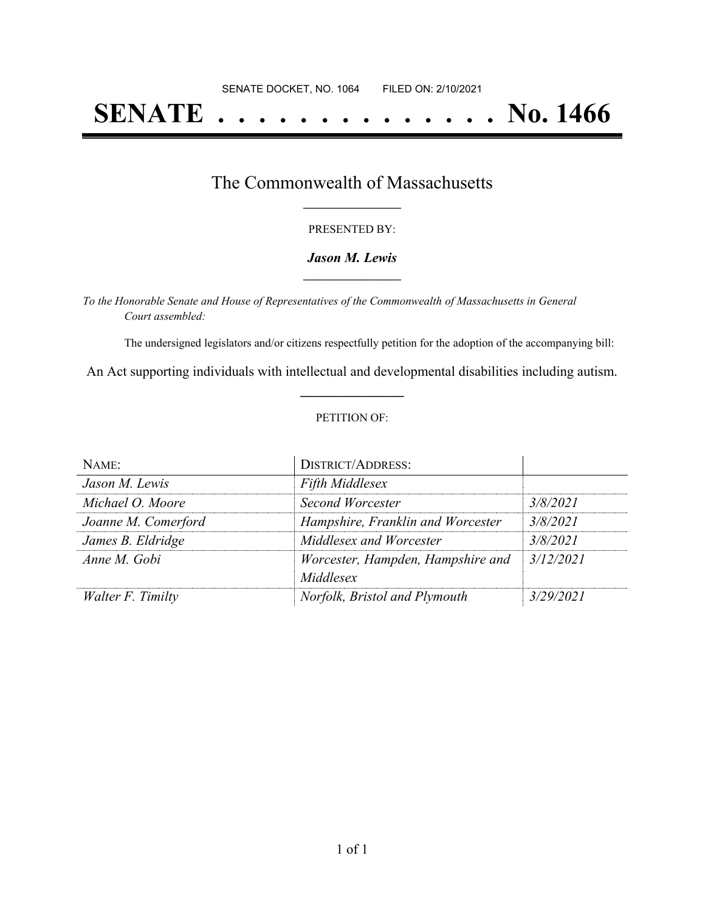# **SENATE . . . . . . . . . . . . . . No. 1466**

## The Commonwealth of Massachusetts **\_\_\_\_\_\_\_\_\_\_\_\_\_\_\_\_\_**

#### PRESENTED BY:

#### *Jason M. Lewis* **\_\_\_\_\_\_\_\_\_\_\_\_\_\_\_\_\_**

*To the Honorable Senate and House of Representatives of the Commonwealth of Massachusetts in General Court assembled:*

The undersigned legislators and/or citizens respectfully petition for the adoption of the accompanying bill:

An Act supporting individuals with intellectual and developmental disabilities including autism. **\_\_\_\_\_\_\_\_\_\_\_\_\_\_\_**

#### PETITION OF:

| NAME:               | <b>DISTRICT/ADDRESS:</b>                       |           |
|---------------------|------------------------------------------------|-----------|
| Jason M. Lewis      | <b>Fifth Middlesex</b>                         |           |
| Michael O. Moore    | Second Worcester                               | 3/8/2021  |
| Joanne M. Comerford | Hampshire, Franklin and Worcester              | 3/8/2021  |
| James B. Eldridge   | Middlesex and Worcester                        | 3/8/2021  |
| Anne M. Gobi        | Worcester, Hampden, Hampshire and<br>Middlesex | 3/12/2021 |
| Walter F. Timilty   | Norfolk, Bristol and Plymouth                  | 3/29/2021 |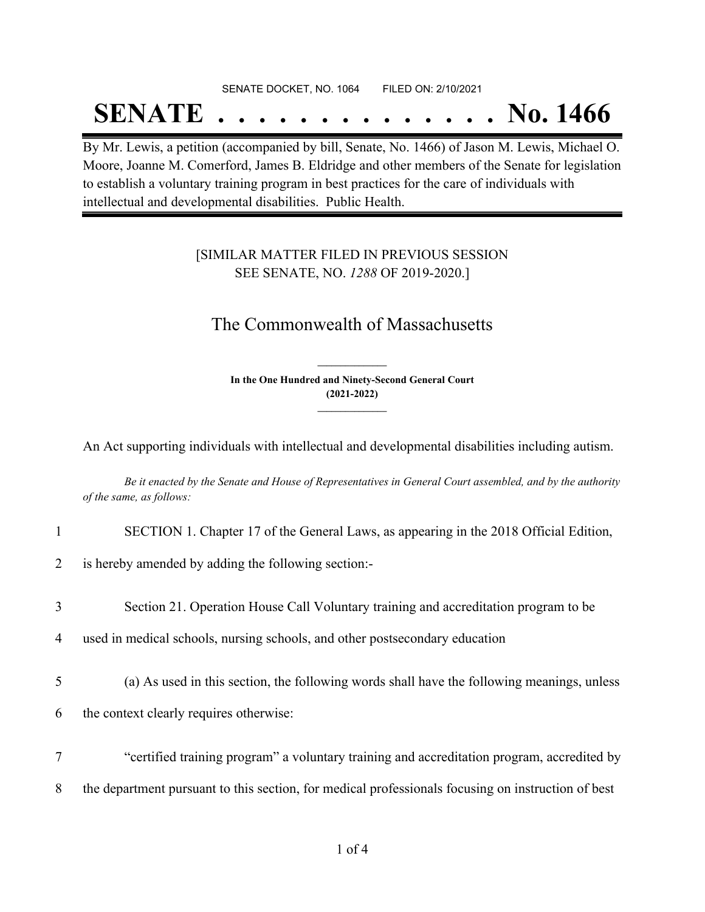## SENATE DOCKET, NO. 1064 FILED ON: 2/10/2021

## **SENATE . . . . . . . . . . . . . . No. 1466**

By Mr. Lewis, a petition (accompanied by bill, Senate, No. 1466) of Jason M. Lewis, Michael O. Moore, Joanne M. Comerford, James B. Eldridge and other members of the Senate for legislation to establish a voluntary training program in best practices for the care of individuals with intellectual and developmental disabilities. Public Health.

### [SIMILAR MATTER FILED IN PREVIOUS SESSION SEE SENATE, NO. *1288* OF 2019-2020.]

## The Commonwealth of Massachusetts

**In the One Hundred and Ninety-Second General Court (2021-2022) \_\_\_\_\_\_\_\_\_\_\_\_\_\_\_**

**\_\_\_\_\_\_\_\_\_\_\_\_\_\_\_**

An Act supporting individuals with intellectual and developmental disabilities including autism.

Be it enacted by the Senate and House of Representatives in General Court assembled, and by the authority *of the same, as follows:*

1 SECTION 1. Chapter 17 of the General Laws, as appearing in the 2018 Official Edition,

2 is hereby amended by adding the following section:-

3 Section 21. Operation House Call Voluntary training and accreditation program to be

4 used in medical schools, nursing schools, and other postsecondary education

- 5 (a) As used in this section, the following words shall have the following meanings, unless 6 the context clearly requires otherwise:
- 7 "certified training program" a voluntary training and accreditation program, accredited by 8 the department pursuant to this section, for medical professionals focusing on instruction of best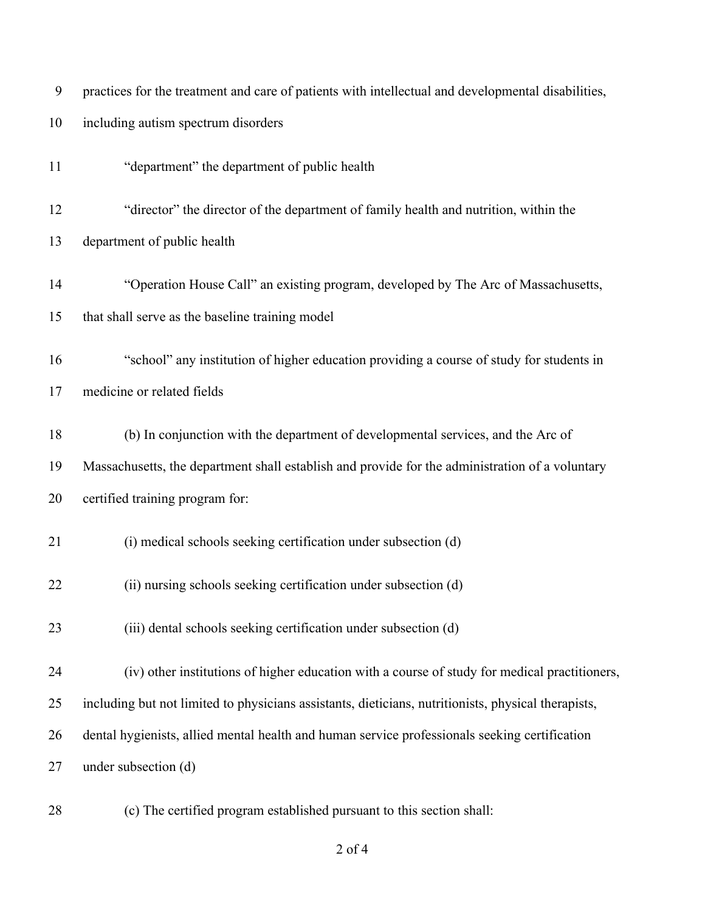| 9  | practices for the treatment and care of patients with intellectual and developmental disabilities,  |
|----|-----------------------------------------------------------------------------------------------------|
| 10 | including autism spectrum disorders                                                                 |
| 11 | "department" the department of public health                                                        |
| 12 | "director" the director of the department of family health and nutrition, within the                |
| 13 | department of public health                                                                         |
| 14 | "Operation House Call" an existing program, developed by The Arc of Massachusetts,                  |
| 15 | that shall serve as the baseline training model                                                     |
| 16 | "school" any institution of higher education providing a course of study for students in            |
| 17 | medicine or related fields                                                                          |
| 18 | (b) In conjunction with the department of developmental services, and the Arc of                    |
| 19 | Massachusetts, the department shall establish and provide for the administration of a voluntary     |
| 20 | certified training program for:                                                                     |
| 21 | (i) medical schools seeking certification under subsection (d)                                      |
| 22 | (ii) nursing schools seeking certification under subsection (d)                                     |
| 23 | (iii) dental schools seeking certification under subsection (d)                                     |
| 24 | (iv) other institutions of higher education with a course of study for medical practitioners,       |
| 25 | including but not limited to physicians assistants, dieticians, nutritionists, physical therapists, |
| 26 | dental hygienists, allied mental health and human service professionals seeking certification       |
| 27 | under subsection (d)                                                                                |
| 28 | (c) The certified program established pursuant to this section shall:                               |

of 4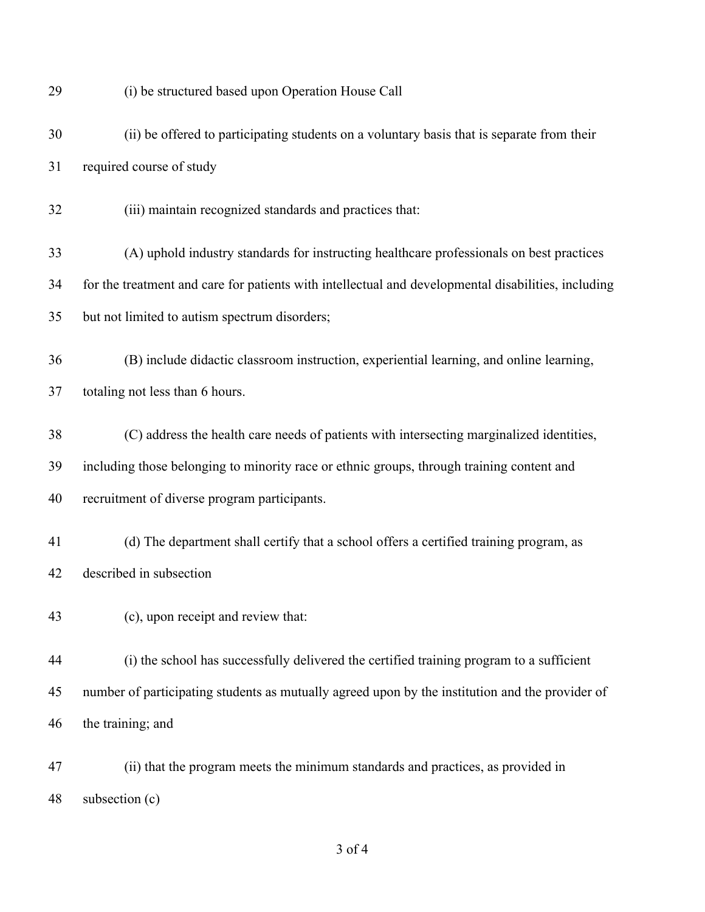(i) be structured based upon Operation House Call (ii) be offered to participating students on a voluntary basis that is separate from their required course of study (iii) maintain recognized standards and practices that: (A) uphold industry standards for instructing healthcare professionals on best practices for the treatment and care for patients with intellectual and developmental disabilities, including but not limited to autism spectrum disorders; (B) include didactic classroom instruction, experiential learning, and online learning, totaling not less than 6 hours. (C) address the health care needs of patients with intersecting marginalized identities, including those belonging to minority race or ethnic groups, through training content and recruitment of diverse program participants. (d) The department shall certify that a school offers a certified training program, as described in subsection (c), upon receipt and review that: (i) the school has successfully delivered the certified training program to a sufficient number of participating students as mutually agreed upon by the institution and the provider of the training; and (ii) that the program meets the minimum standards and practices, as provided in subsection (c)

of 4